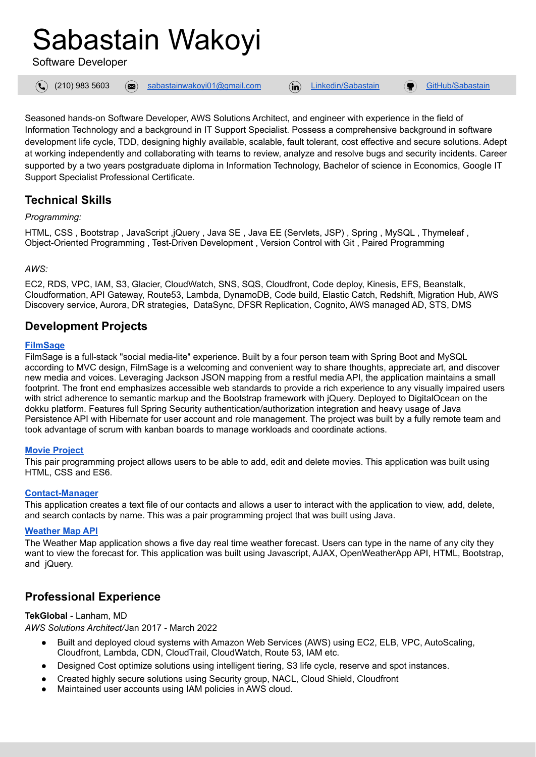# Sabastain Wakoyi

Software Developer

 $\mathbf{\Omega}$ 

(210) 983 5603 [sabastainwakoyi01@gmail.com](mailto:sabastainwakoyi01@gmail.com) [Linkedin/Sabastain](https://www.linkedin.com/company/Sabastain-Wakoyi-agency) [GitHub/Sabastain](https://github.com/SabastainEmaka)

Seasoned hands-on Software Developer, AWS Solutions Architect, and engineer with experience in the field of Information Technology and a background in IT Support Specialist. Possess a comprehensive background in software development life cycle, TDD, designing highly available, scalable, fault tolerant, cost effective and secure solutions. Adept at working independently and collaborating with teams to review, analyze and resolve bugs and security incidents. Career supported by a two years postgraduate diploma in Information Technology, Bachelor of science in Economics, Google IT Support Specialist Professional Certificate.

## **Technical Skills**

## *Programming:*

HTML, CSS , Bootstrap , JavaScript ,jQuery , Java SE , Java EE (Servlets, JSP) , Spring , MySQL , Thymeleaf , Object-Oriented Programming , Test-Driven Development , Version Control with Git , Paired Programming

## *AWS:*

EC2, RDS, VPC, IAM, S3, Glacier, CloudWatch, SNS, SQS, Cloudfront, Code deploy, Kinesis, EFS, Beanstalk, Cloudformation, API Gateway, Route53, Lambda, DynamoDB, Code build, Elastic Catch, Redshift, Migration Hub, AWS Discovery service, Aurora, DR strategies, DataSync, DFSR Replication, Cognito, AWS managed AD, STS, DMS

## **Development Projects**

## **[FilmSage](https://github.com/filmsage)**

FilmSage is a full-stack "social media-lite" experience. Built by a four person team with Spring Boot and MySQL according to MVC design, FilmSage is a welcoming and convenient way to share thoughts, appreciate art, and discover new media and voices. Leveraging Jackson JSON mapping from a restful media API, the application maintains a small footprint. The front end emphasizes accessible web standards to provide a rich experience to any visually impaired users with strict adherence to semantic markup and the Bootstrap framework with jQuery. Deployed to DigitalOcean on the dokku platform. Features full Spring Security authentication/authorization integration and heavy usage of Java Persistence API with Hibernate for user account and role management. The project was built by a fully remote team and took advantage of scrum with kanban boards to manage workloads and coordinate actions.

#### **Movie [Project](https://github.com/moviedatabase-sabastain-alfonso/moviedatabase)**

This pair programming project allows users to be able to add, edit and delete movies. This application was built using HTML, CSS and ES6.

#### **[Contact-Manager](https://github.com/wakoyi-wienecke-regulus/contact-manager-CLI)**

This application creates a text file of our contacts and allows a user to interact with the application to view, add, delete, and search contacts by name. This was a pair programming project that was built using Java.

#### **[Weather](https://github.com/Sabastain-Wakoyi/Codeup-web-exercises/blob/main/mapbox_maps_api.html) Map API**

The Weather Map application shows a five day real time weather forecast. Users can type in the name of any city they want to view the forecast for. This application was built using Javascript, AJAX, OpenWeatherApp API, HTML, Bootstrap, and jQuery.

## **Professional Experience**

## **TekGlobal** - Lanham, MD

*AWS Solutions Architect/*Jan 2017 - March 2022

- Built and deployed cloud systems with Amazon Web Services (AWS) using EC2, ELB, VPC, AutoScaling, Cloudfront, Lambda, CDN, CloudTrail, CloudWatch, Route 53, IAM etc.
- Designed Cost optimize solutions using intelligent tiering, S3 life cycle, reserve and spot instances.
- Created highly secure solutions using Security group, NACL, Cloud Shield, Cloudfront
- Maintained user accounts using IAM policies in AWS cloud.